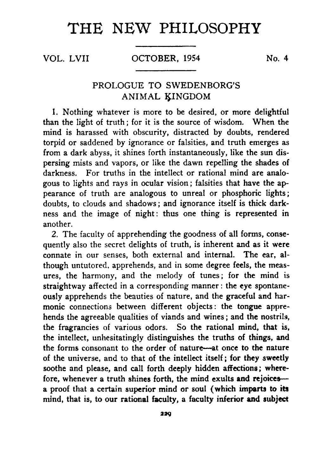## **THE NEW PHILOSOPHY**

VOL. LVII OCTOBER, 1954 No. 4

## PROLOGUE TO SWEDENBORG'S ANIMAL KINGDOM

1. Nothing whatever is more to be desired, or more delightful than the light of truth; for it is the source of wisdom. When the mind is harassed with obscurity, distracted by doubts, rendered torpid or saddened by ignorance or falsities, and truth emerges as from a dark abyss, it shines forth instantaneously, like the sun dispersing mists and vapors, or like the dawn repelling the shades of darkness. For truths in the intellect or rational mind are analogous to lights and rays in ocular vision; falsities that have the appearance of truth are analogous to unreal or phosphoric lights; doubts, to clouds and shadows; and ignorance itself is thick darkness and the image of night: thus one thing is represented in another.

2. The faculty of apprehending the goodness of all forms, consequently also the secret delights of truth, is inherent and as it were connate in our senses, both external and internal. The ear, although untutored, apprehends, and in some degree feels, the measures, the harmony, and the melody of tunes; for the mind is straightway affected in a corresponding manner: the eye spontaneously apprehends the beauties of nature, and the graceful and harmonic connections between different objects: the tongue apprehends the agreeable qualities of viands and wines; and the nostrils, the fragrancies of various odors. So the rational mind, that is, the intellect, unhesitatingly distinguishes the truths of things, and the forms consonant to the order of nature— at once to the nature of the universe, and to that of the intellect itself; for they sweetly soothe and please, and call forth deeply hidden affections; wherefore, whenever a truth shines forth, the mind exults and rejoices a proof that a certain superior mind or soul (which imparts to its mind, that is, to our rational faculty, a faculty inferior and subject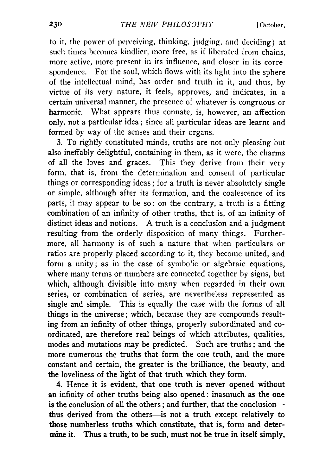to it, the power of perceiving, thinking, judging, and deciding) at such times becomes kindlier, more free, as if liberated from chains, more active, more present in its influence, and closer in its correspondence. For the soul, which flows with its light into the sphere of the intellectual mind, has order and truth in it, and thus, by virtue of its very nature, it feels, approves, and indicates, in a certain universal manner, the presence of whatever is congruous or harmonic. What appears thus connate, is, however, an affection only., not a particular idea; since all particular ideas are learnt and formed by way of the senses and their organs.

3. To rightly constituted minds, truths are not only pleasing but also ineffably delightful, containing in them, as it were, the charms of all the loves and graces. This they derive from their very form, that is, from the determination and consent of particular things or corresponding ideas; for a truth is never absolutely single or simple, although after its formation, and the coalescence of its parts, it may appear to be so : on the contrary, a truth is a fitting combination of an infinity of other truths, that is, of an infinity of distinct ideas and notions. A truth is a conclusion and a judgment resulting from the orderly disposition of many things. Furthermore, all harmony is of such a nature that when particulars or ratios are properly placed according to it, they become united, and form a unity; as in the case of symbolic or algebraic equations, where many terms or numbers are connected together by signs, but which, although divisible into many when regarded in their own series, or combination of series, are nevertheless represented as single and simple. This is equally the case with the forms of all things in the universe; which, because they are compounds resulting from an infinity of other things, properly subordinated and coordinated, are therefore real beings of which attributes, qualities, modes and mutations may be predicted. Such are truths; and the more numerous the truths that form the one truth, and the more constant and certain, the greater is the brilliance, the beauty, and the loveliness of the light of that truth which they form.

4. Hence it is evident, that one truth is never opened without an infinity of other truths being also opened: inasmuch as the one is the conclusion of all the others; and further, that the conclusion thus derived from the others— is not a truth except relatively to those numberless truths which constitute, that is, form and determine it. Thus a truth, to be such, must not be true in itself simply,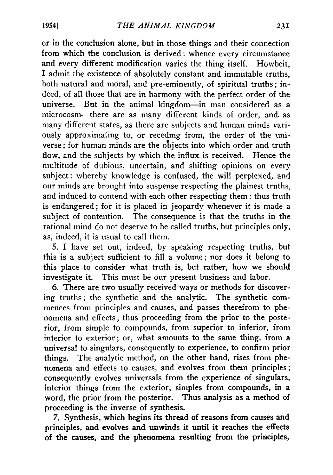or in the conclusion alone, but in those things and their connection from which the conclusion is derived: whence every circumstance and every different modification varies the thing itself. Howbeit, I admit the existence of absolutely constant and immutable truths, both natural and moral, and pre-eminently, of spiritual truths; indeed, of all those that are in harmony with the perfect order of the universe. But in the animal kingdom— in man considered as a microcosm— there are as many different kinds of order, and. as many different states, as there are subjects and human minds variously approximating to, or receding from, the order of the universe ; for human minds are the objects into which order and truth flow, and the subjects by which the influx is received. Hence the multitude of dubious, uncertain, and shifting opinions on every subject: whereby knowledge is confused, the will perplexed, and our minds are brought into suspense respecting the plainest truths, and induced to contend with each other respecting them: thus truth is endangered; for it is placed in jeopardy whenever it is made a subject of contention. The consequence is that the truths in the rational mind do not deserve to be called truths, but principles only, as, indeed, it is usual to call them.

5. I have set out, indeed, by speaking respecting truths, but this is a subject sufficient to fill a volume; nor does it belong to this place to consider what truth is, but rather, how we should investigate it. This must be our present business and labor.

6. There are two usually received ways or methods for discovering truths; the synthetic and the analytic. The synthetic commences from principles and causes, and passes therefrom to phenomena and effects; thus proceeding from the prior to the posterior, from simple to compounds, from superior to inferior, from interior to exterior; or, what amounts to the same thing, from a universal to singulars, consequently to experience, to confirm prior things. The analytic method, on the other hand, rises from phenomena and effects to causes, and evolves from them principles; consequently evolves universals from the experience of singulars, interior things from the exterior, simples from compounds, in a word, the prior from the posterior. Thus analysis as a method of proceeding is the inverse of synthesis.

7. Synthesis, which begins its thread of reasons from causes and principles, and evolves and unwinds it until it reaches the effects of the causes, and the phenomena resulting from the principles,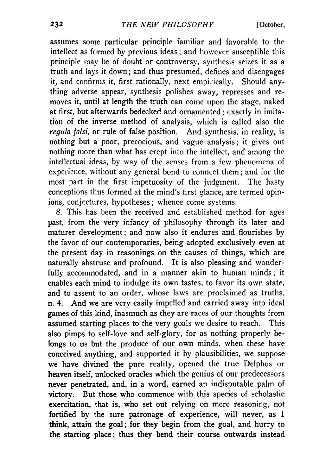assumes some particular principle familiar and favorable to the intellect as formed by previous ideas; and however susceptible this principle may be of doubt or controversy, synthesis seizes it as a truth and lays it down; and thus presumed, defines and disengages it, and confirms it, first rationally, next empirically. Should anything adverse appear, synthesis polishes away, represses and removes it, until at length the truth can come upon the stage, naked at first, but afterwards bedecked and ornamented; exactly in imitation of the inverse method of analysis, which is called also the *regula falsi*, or rule of false position. And synthesis, in reality, is nothing but a poor, precocious, and vague analysis; it gives out nothing more than what has crept into the intellect, and among the intellectual ideas, by way of the senses from a few phenomena of experience, without any general bond to connect them; and for the most part in the first impetuosity of the judgment. The hasty conceptions thus formed at the mind's first glance, are termed opinions, conjectures, hypotheses; whence come systems.

8. This has been the received and established method for ages past, from the very infancy of philosophy through its later and maturer development; and now also it endures and flourishes by the favor of our contemporaries, being adopted exclusively even at the present day in reasonings on the causes of things, which are naturally abstruse and profound. It is also pleasing and wonderfully accommodated, and in a manner akin to human minds; it enables each mind to indulge its own tastes, to favor its own state, and to assent to an order, whose laws are proclaimed as truths, n. 4. And we are very easily impelled and carried away into ideal games of this kind, inasmuch as they are races of our thoughts from assumed starting places to the very goals we desire to reach. This also pimps to self-love and self-glory, for as nothing properly belongs to us but the produce of our own minds, when these have conceived anything, and supported it by plausibilities, we suppose we have divined the pure reality, opened the true Delphos or heaven itself, unlocked oracles which the genius of our predecessors never penetrated, and, in a word, earned an indisputable palm of victory. But those who commence with this species of scholastic exercitation, that is, who set out relying on mere reasoning, not fortified by the sure patronage of experience, will never, as I think, attain the goal; for they begin from the goal, and hurry to the starting place; thus they bend their course outwards instead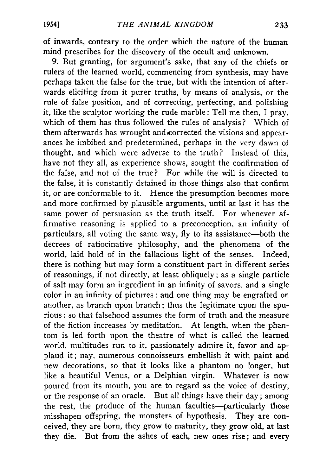of inwards, contrary to the order which the nature of the human mind prescribes for the discovery of the occult and unknown.

9. But granting, for argument's sake, that any of the chiefs or rulers of the learned world, commencing from synthesis, may have perhaps taken the false for the true, but with the intention of afterwards eliciting from it purer truths, by means of analysis, or the rule of false position, and of correcting, perfecting, and polishing it, like the sculptor working the rude marble: Tell me then, I pray, which of them has thus followed the rules of analysis? Which of them afterwards has wrought and corrected the visions and appearances he imbibed and predetermined, perhaps in the very dawn of thought, and which were adverse to the truth? Instead of this, have not they all, as experience shows, sought the confirmation of the false, and not of the true? For while the will is directed to the false, it is constantly detained in those things also that confirm it, or are conformable to it. Hence the presumption becomes more and more confirmed by plausible arguments, until at last it has the same power of persuasion as the truth itself. For whenever affirmative reasoning is applied to a preconception, an infinity of particulars, all voting the same way, fly to its assistance— both the decrees of ratiocinative philosophy, and the phenomena of the world, laid hold of in the fallacious light of the senses. Indeed, there is nothing but may form a constituent part in different series of reasonings, if not directly, at least obliquely; as a single particle of salt may form an ingredient in an infinity of savors, and a single color in an infinity of pictures: and one thing may be engrafted on another, as branch upon branch; thus the legitimate upon the spurious : so that falsehood assumes the form of truth and the measure of the fiction increases by meditation. At length, when the phantom is led forth upon the theatre of what is called the learned world, multitudes run to it, passionately admire it, favor and applaud it; nay, numerous connoisseurs embellish it with paint and new decorations, so that it looks like a phantom no longer, but like a beautiful Venus, or a Delphian virgin. Whatever is now poured from its mouth, you are to regard as the voice of destiny, or the response of an oracle. But all things have their day; among the rest, the produce of the human faculties— particularly those misshapen offspring, the monsters of hypothesis. They are conceived, they are born, they grow to maturity, they grow old, at last they die. But from the ashes of each, new ones rise; and every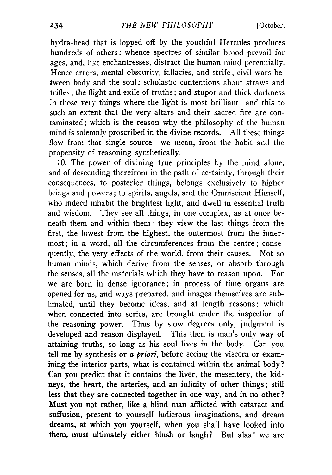hydra-head that is lopped off by the youthful Hercules produces hundreds of others: whence spectres of similar brood prevail for ages, and, like enchantresses, distract the human mind perennially. Hence errors, mental obscurity, fallacies, and strife; civil wars between body and the soul; scholastic contentions about straws and trifles; the flight and exile of truths; and stupor and thick darkness in those very things where the light is most brilliant: and this to such an extent that the very altars and their sacred fire are contaminated; which is the reason why the philosophy of the human mind is solemnly proscribed in the divine records. All these things flow from that single source— we mean, from the habit and the propensity of reasoning synthetically.

10. The power of divining true principles by the mind alone, and of descending therefrom in the path of certainty, through their consequences, to posterior things, belongs exclusively to higher beings and powers; to spirits, angels, and the Omniscient Himself, who indeed inhabit the brightest light, and dwell in essential truth and wisdom. They see all things, in one complex, as at once beneath them and within them: they view the last things from the first, the lowest from the highest, the outermost from the innermost; in a word, all the circumferences from the centre; consequently, the very effects of the world, from their causes. Not so human minds, which derive from the senses, or absorb through the senses, all the materials which they have to reason upon. For we are born in dense ignorance; in process of time organs are opened for us, and ways prepared, and images themselves are sublimated, until they become ideas, and at length reasons; which when connected into series, are brought under the inspection of the reasoning power. Thus by slow degrees only, judgment is developed and reason displayed. This then is man's only way of attaining truths, so long as his soul lives in the body. Can you tell me by synthesis or *a priori*, before seeing the viscera or examining the interior parts, what is contained within the animal body ? Can you predict that it contains the liver, the mesentery, the kidneys, the heart, the arteries, and an infinity of other things; still less that they are connected together in one way, and in no other ? Must you not rather, like a blind man afflicted with cataract and suffusion, present to yourself ludicrous imaginations, and dream dreams, at which you yourself, when you shall have looked into them, must ultimately either blush or laugh? But alas! we are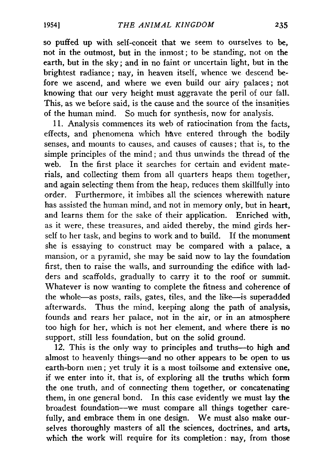so puffed up with self-conceit that we seem to ourselves to be, not in the outmost, but in the inmost; to be standing, not on the earth, but in the sky; and in no faint or uncertain light, but in the brightest radiance; nay, in heaven itself, whence we descend before we ascend, and where we even build our airy palaces; not knowing that our very height must aggravate the peril of our fall. This, as we before said, is the cause and the source of the insanities of the human mind. So much for synthesis, now for analysis.

11. Analysis commences its web of ratiocination from the facts, effects, and phenomena which have entered through the bodily senses, and mounts to causes, and causes of causes; that is, to the simple principles of the mind; and thus unwinds the thread of the web. In the first place it searches for certain and evident materials, and collecting them from all quarters heaps them together, and again selecting them from the heap, reduces them skillfully into order. Furthermore, it imbibes all the sciences wherewith nature has assisted the human mind, and not in memory only, but in heart, and learns them for the sake of their application. Enriched with, as it were, these treasures, and aided thereby, the mind girds herself to her task, and begins to work and to build. If the monument she is essaying to construct may be compared with a palace, a mansion, or a pyramid, she may be said now to lay the foundation first, then to raise the walls, and surrounding the edifice with ladders and scaffolds, gradually to carry it to the roof or summit. Whatever is now wanting to complete the fitness and coherence of the whole—as posts, rails, gates, tiles, and the like—is superadded afterwards. Thus the mind, keeping along the path of analysis, founds and rears her palace, not in the air, or in an atmosphere too high for her, which is not her element, and where there is no support, still less foundation, but on the solid ground.

12. This is the only way to principles and truths— to high and almost to heavenly things— and no other appears to be open to us earth-born men; yet truly it is a most toilsome and extensive one, if we enter into it, that is, of exploring all the truths which form the one truth, and of connecting them together, or concatenating them, in one general bond. In this case evidently we must lay the broadest foundation— we must compare all things together carefully, and embrace them in one design. We must also make ourselves thoroughly masters of all the sciences, doctrines, and arts, which the work will require for its completion: nay, from those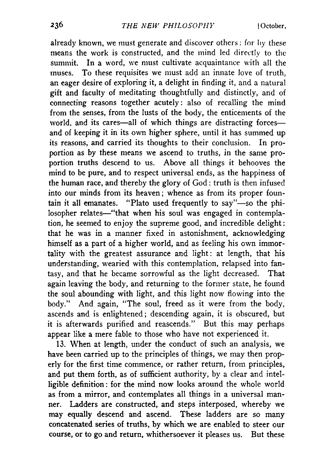already known, we must generate and discover others: for by these means the work is constructed, and the mind led directly to the summit. In a word, we must cultivate acquaintance with all the muses. To these requisites we must add an innate love of truth, an eager desire of exploring it, a delight in finding it, and a natural gift and faculty of meditating thoughtfully and distinctly, and of connecting reasons together acutely: also of recalling the mind from the senses, from the lusts of the body, the enticements of the world, and its cares—all of which things are distracting forces and of keeping it in its own higher sphere, until it has summed up its reasons, and carried its thoughts to their conclusion. In proportion as by these means we ascend to truths, in the same proportion truths descend to us. Above all things it behooves the mind to be pure, and to respect universal ends, as the happiness of the human race, and thereby the glory of God: truth is then infused into our minds from its heaven; whence as from its proper fountain it all emanates. " Plato used frequently to say"— so the philosopher relates—" that when his soul was engaged in contemplation, he seemed to enjoy the supreme good, and incredible delight: that he was in a manner fixed in astonishment, acknowledging himself as a part of a higher world, and as feeling his own immortality with the greatest assurance and light: at length, that his understanding, wearied with this contemplation, relapsed into fantasy, and that he became sorrowful as the light decreased. That again leaving the body, and returning to the former state, he found the soul abounding with light, and this light now flowing into the body." And again, "The soul, freed as it were from the body, ascends and is enlightened; descending again, it is obscured, but it is afterwards purified and reascends." But this may perhaps appear like a mere fable to those who have not experienced it.

13. When at length, under the conduct of such an analysis, we have been carried up to the principles of things, we may then properly for the first time commence, or rather return, from principles, and put them forth, as of sufficient authority, by a clear and intelligible definition: for the mind now looks around the whole world as from a mirror, and contemplates all things in a universal manner. Ladders are constructed, and steps interposed, whereby we may equally descend and ascend. These ladders are so many concatenated series of truths, by which we are enabled to steer our course, or to go and return, whithersoever it pleases us. But these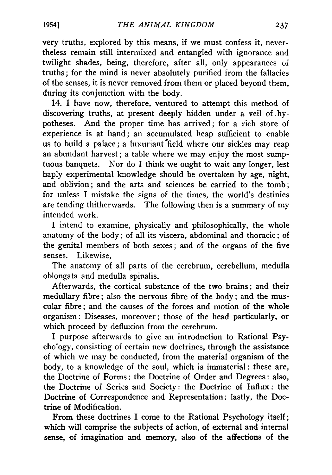very truths, explored by this means, if we must confess it, nevertheless remain still intermixed and entangled with ignorance and twilight shades, being, therefore, after all, only appearances of truths; for the mind is never absolutely purified from the fallacies of the senses, it is never removed from them or placed beyond them, during its conjunction with the body.

14. I have now, therefore, ventured to attempt this method of discovering truths, at present deeply hidden under a veil of hypotheses. And the proper time has arrived; for a rich store of experience is at hand; an accumulated heap sufficient to enable us to build a palace; a luxuriant field where our sickles may reap an abundant harvest; a table where we may enjoy the most sumptuous banquets. Nor do I think we ought to wait any longer, lest haply experimental knowledge should be overtaken by age, night, and oblivion; and the arts and sciences be carried to the tomb; for unless I mistake the signs of the times, the world's destinies are tending thitherwards. The following then is a summary of my intended work.

I intend to examine, physically and philosophically, the whole anatomy of the body; of all its viscera, abdominal and thoracic; of the genital members of both sexes; and of the organs of the five senses. Likewise,

The anatomy of all parts of the cerebrum, cerebellum, medulla oblongata and medulla spinalis.

Afterwards, the cortical substance of the two brains; and their medullary fibre; also the nervous fibre of the body; and the muscular fibre; and the causes of the forces and motion of the whole organism: Diseases, moreover; those of the head particularly, or which proceed by defluxion from the cerebrum.

I purpose afterwards to give an introduction to Rational Psychology, consisting of certain new doctrines, through the assistance of which we may be conducted, from the material organism of the body, to a knowledge of the soul, which is immaterial: these are, the Doctrine of Forms: the Doctrine of Order and Degrees: also, the Doctrine of Series and Society: the Doctrine of Influx: the Doctrine of Correspondence and Representation: lastly, the Doctrine of Modification.

From these doctrines I come to the Rational Psychology itself; which will comprise the subjects of action, of external and internal sense, of imagination and memory, also of the affections of the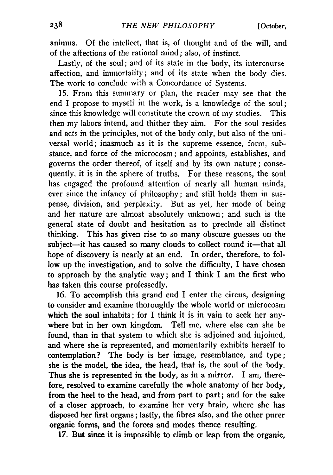animus. Of the intellect, that is, of thought and of the will, and of the affections of the rational mind; also, of instinct.

Lastly, of the soul; and of its state in the body, its intercourse affection, and immortality; and of its state when the body dies. The work to conclude with a Concordance of Systems.

15. From this summary or plan, the reader may see that the end I propose to myself in the work, is a knowledge of the soul; since this knowledge will constitute the crown of my studies. This then my labors intend, and thither they aim. For the soul resides and acts in the principles, not of the body only, but also of the universal world; inasmuch as it is the supreme essence, form, substance, and force of the microcosm; and appoints, establishes, and governs the order thereof, of itself and by its own nature; consequently, it is in the sphere of truths. For these reasons, the soul has engaged the profound attention of nearly all human minds, ever since the infancy of philosophy; and still holds them in suspense, division, and perplexity. But as yet, her mode of being and her nature are almost absolutely unknown; and such is the general state of doubt and hesitation as to preclude all distinct thinking. This has given rise to so many obscure guesses on the subject— it has caused so many clouds to collect round it— that all hope of discovery is nearly at an end. In order, therefore, to follow up the investigation, and to solve the difficulty, I have chosen to approach by the analytic way; and I think I am the first who has taken this course professedly.

16. To accomplish this grand end I enter the circus, designing to consider and examine thoroughly the whole world or microcosm which the soul inhabits; for I think it is in vain to seek her anywhere but in her own kingdom. Tell me, where else can she be found, than in that system to which she is adjoined and injoined, and where she is represented, and momentarily exhibits herself to contemplation? The body is her image, resemblance, and type; she is the model, the idea, the head, that is, the soul of the body. Thus she is represented in the body, as in a mirror. I am, therefore, resolved to examine carefully the whole anatomy of her body, from the heel to the head, and from part to part; and for the sake of a closer approach, to examine her very brain, where she has disposed her first organs; lastly, the fibres also, and the other purer organic forms, and the forces and modes thence resulting.

17. But since it is impossible to climb or leap from the organic,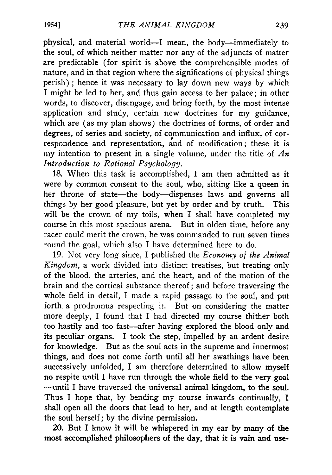physical, and material world—I mean, the body—immediately to the soul, of which neither matter nor any of the adjuncts of matter are predictable (for spirit is above the comprehensible modes of nature, and in that region where the significations of physical things perish) ; hence it was necessary to lay down new ways by which I might be led to her, and thus gain access to her palace; in other words, to discover, disengage, and bring forth, by the most intense application and study, certain new doctrines for my guidance, which are (as my plan shows) the doctrines of forms, of order and degrees, of series and society, of communication and influx, of correspondence and representation, and of modification; these it is my intention to present in a single volume, under the title of *An Introduction to Rational Psychology.*

18. When this task is accomplished, I am then admitted as it were by common consent to the soul, who, sitting like a queen in her throne of state— the body— dispenses laws and governs all things by her good pleasure, but yet by order and by truth. This will be the crown of my toils, when I shall have completed my course in this most spacious arena. But in olden time, before any racer could merit the crown, he was commanded to run seven times round the goal, which also I have determined here to do.

19. Not very long since, I published the *Economy of the Animal Kingdom,* a work divided into distinct treatises, but treating only of the blood, the arteries, and the heart, and of the motion of the brain and the cortical substance thereof; and before traversing the whole field in detail, I made a rapid passage to the soul, and put forth a prodromus respecting it. But on considering the matter more deeply, I found that I had directed my course thither both too hastily and too fast— after having explored the blood only and its peculiar organs. I took the step, impelled by an ardent desire for knowledge. But as the soul acts in the supreme and innermost things, and does not come forth until all her swathings have been successively unfolded, I am therefore determined to allow myself no respite until I have run through the whole field to the very goal — until I have traversed the universal animal kingdom, to the soul. Thus I hope that, by bending my course inwards continually, I shall open all the doors that lead to her, and at length contemplate the soul herself; by the divine permission.

20. But I know it will be whispered in my ear by many of the most accomplished philosophers of the day, that it is vain and use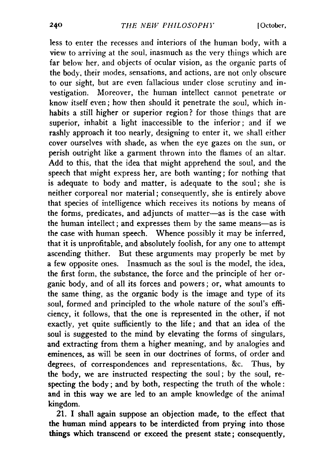less to enter the recesses and interiors of the human body, with a view to arriving at the soul, inasmuch as the very things which are far below her, and objects of ocular vision, as the organic parts of the body, their modes, sensations, and actions, are not only obscure to our sight, but are even fallacious under close scrutiny and investigation. Moreover, the human intellect cannot penetrate or know itself even; how then should it penetrate the soul, which inhabits a still higher or superior region? for those things that are superior, inhabit a light inaccessible to the inferior; and if we rashly approach it too nearly, designing to enter it, we shall either cover ourselves with shade, as when the eye gazes on the sun, or perish outright like a garment thrown into the flames of an altar. Add to this, that the idea that might apprehend the soul, and the speech that might express her, are both wanting; for nothing that is adequate to body and matter, is adequate to the soul; she is neither corporeal nor material; consequently, she is entirely above that species of intelligence which receives its notions by means of the forms, predicates, and adjuncts of matter— as is the case with the human intellect; and expresses them by the same means— as is the case with human speech. Whence possibly it may be inferred, that it is unprofitable, and absolutely foolish, for any one to attempt ascending thither. But these arguments may properly be met by a few opposite ones. Inasmuch as the soul is the model, the idea, the first form, the substance, the force and the principle of her organic body, and of all its forces and powers; or, what amounts to the same thing, as the organic body is the image and type of its soul, formed and principled to the whole nature of the soul's efficiency, it follows, that the one is represented in the other, if not exactly, yet quite sufficiently to the life; and that an idea of the soul is suggested to the mind by elevating the forms of singulars, and extracting from them a higher meaning, and by analogies and eminences, as will be seen in our doctrines of forms, of order and degrees, of correspondences and representations, &c. Thus, by the body, we are instructed respecting the soul; by the soul, respecting the body; and by both, respecting the truth of the whole: and in this way we are led to an ample knowledge of the animal kingdom.

21. I shall again suppose an objection made, to the effect that the human mind appears to be interdicted from prying into those things which transcend or exceed the present state; consequently,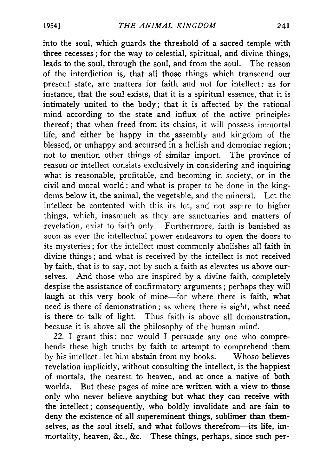into the soul, which guards the threshold of a sacred temple with three recesses; for the way to celestial, spiritual, and divine things, leads to the soul, through the soul, and from the soul. The reason of the interdiction is, that all those things which transcend our present state, are matters for faith and not for intellect: as for instance, that the soul exists, that it is a spiritual essence, that it is intimately united to the body; that it is affected by the rational mind according to the state and influx of the active principles thereof; that when freed from its chains, it will possess immortal life, and either be happy in the assembly and kingdom of the blessed, or unhappy and accursed in a hellish and demoniac region; not to mention other things of similar import. The province of reason or intellect consists exclusively in considering and inquiring what is reasonable, profitable, and becoming in society, or in the civil and moral world; and what is proper to be done in the kingdoms below it, the animal, the vegetable, and the mineral. Let the intellect be contented with this its lot, and not aspire to higher things, which, inasmuch as they are sanctuaries and matters of revelation, exist to faith only. Furthermore, faith is banished as soon as ever the intellectual power endeavors to open the doors to its mysteries; for the intellect most commonly abolishes all faith in divine things; and what is received by the intellect is not received by faith, that is to say, not by such a faith as elevates us above ourselves. And those who are inspired by a divine faith, completely despise the assistance of confirmatory arguments; perhaps they will laugh at this very book of mine— for where there is faith, what need is there of demonstration; as where there is sight, what need is there to talk of light. Thus faith is above all demonstration, because it is above all the philosophy of the human mind.

22. I grant this; nor would I persuade any one who comprehends these high truths by faith to attempt to comprehend them by his intellect: let him abstain from my books. Whoso believes revelation implicitly, without consulting the intellect, is the happiest of mortals, the nearest to heaven, and at once a native of both worlds. But these pages of mine are written with a view to those only who never believe anything but what they can receive with the intellect; consequently, who boldly invalidate and are fain to deny the existence of all supereminent things, sublimer than themselves, as the soul itself, and what follows therefrom— its life, immortality, heaven, &c., &c. These things, perhaps, since such per